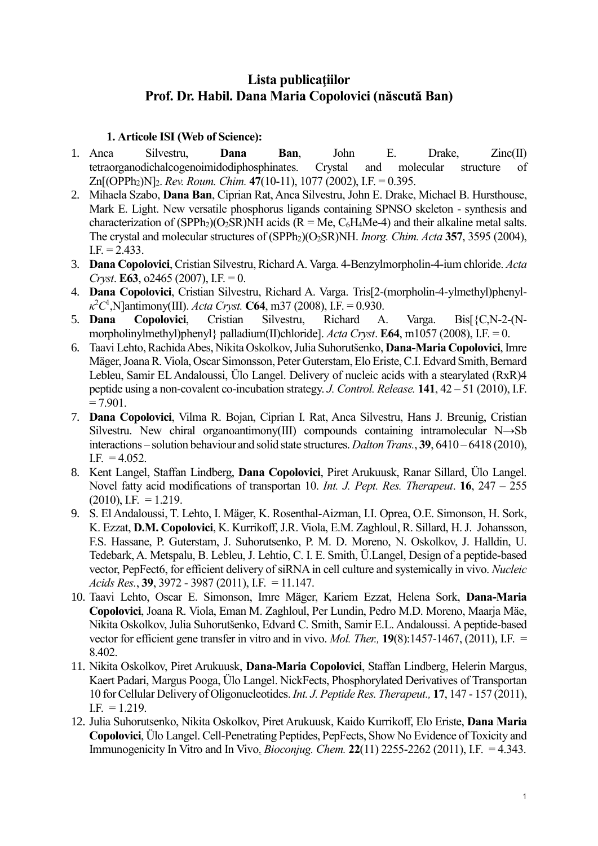# **Lista publicaţiilor Prof. Dr. Habil. Dana Maria Copolovici (născută Ban)**

#### **1. Articole ISI (Web of Science):**

- 1. Anca Silvestru, **Dana Ban**, John E. Drake, Zinc(II) tetraorganodichalcogenoimidodiphosphinates. Crystal and molecular structure of Zn[(OPPh2)N]2. *Rev. Roum. Chim.* **47**(10-11), 1077 (2002), I.F. = 0.395.
- 2. Mihaela Szabo, **Dana Ban**, Ciprian Rat, Anca Silvestru, John E. Drake, Michael B. Hursthouse, Mark E. Light. New versatile phosphorus ligands containing SPNSO skeleton - synthesis and characterization of (SPPh<sub>2</sub>)(O<sub>2</sub>SR)NH acids (R = Me, C<sub>6</sub>H<sub>4</sub>Me-4) and their alkaline metal salts. The crystal and molecular structures of (SPPh<sub>2</sub>)(O<sub>2</sub>SR)NH. *Inorg. Chim. Acta* 357, 3595 (2004),  $I.F. = 2.433$ .
- 3. **Dana Copolovici**, Cristian Silvestru, Richard A. Varga. 4-Benzylmorpholin-4-ium chloride. *Acta Cryst*. **E63**, o2465 (2007), I.F. = 0.
- 4. **Dana Copolovici**, Cristian Silvestru, Richard A. Varga. Tris[2-(morpholin-4-ylmethyl)phenyl- $\kappa^2 C^1$ , N]antimony(III). *Acta Cryst*. **C64**, m37 (2008), I.F. = 0.930.
- 5. **Dana Copolovici**, Cristian Silvestru, Richard A. Varga. Bis[{C,N-2-(Nmorpholinylmethyl)phenyl} palladium(II)chloride]. *Acta Cryst*. **E64**, m1057 (2008), I.F. = 0.
- 6. Taavi Lehto, Rachida Abes, Nikita Oskolkov, Julia Suhorutšenko, **Dana-Maria Copolovici**, Imre Mäger, Joana R. Viola, Oscar Simonsson, Peter Guterstam, Elo Eriste, C.I. Edvard Smith, Bernard Lebleu, Samir EL Andaloussi, Ülo Langel. Delivery of nucleic acids with a stearylated (RxR)4 peptide using a non-covalent co-incubation strategy. *J. Control. Release.* **141**, 42 – 51 (2010), I.F.  $= 7.901.$
- 7. **Dana Copolovici**, Vilma R. Bojan, Ciprian I. Rat, Anca Silvestru, Hans J. Breunig, Cristian Silvestru. New chiral organoantimony(III) compounds containing intramolecular N→Sb interactions – solution behaviour and solid state structures. *Dalton Trans.*, **39**, 6410 – 6418 (2010), I.F.  $= 4.052$ .
- 8. Kent Langel, Staffan Lindberg, **Dana Copolovici**, Piret Arukuusk, Ranar Sillard, Ülo Langel. Novel fatty acid modifications of transportan 10. *Int. J. Pept. Res. Therapeut*. **16**, 247 – 255  $(2010)$ , I.F. = 1.219.
- 9. S. El Andaloussi, T. Lehto, I. Mäger, K. Rosenthal-Aizman, I.I. Oprea, O.E. Simonson, H. Sork, K. Ezzat, **D.M. Copolovici**, K. Kurrikoff, J.R. Viola, E.M. Zaghloul, R. Sillard, H. J. Johansson, F.S. Hassane, P. Guterstam, J. Suhorutsenko, P. M. D. Moreno, N. Oskolkov, J. Halldin, U. Tedebark, A. Metspalu, B. Lebleu, J. Lehtio, C. I. E. Smith, Ü.Langel, Design of a peptide-based vector, PepFect6, for efficient delivery of siRNA in cell culture and systemically in vivo. *Nucleic Acids Res.*, **39**, 3972 - 3987 (2011), I.F. = 11.147.
- 10. Taavi Lehto, Oscar E. Simonson, Imre Mäger, Kariem Ezzat, Helena Sork, **Dana-Maria Copolovici**, Joana R. Viola, Eman M. Zaghloul, Per Lundin, Pedro M.D. Moreno, Maarja Mäe, Nikita Oskolkov, Julia Suhorutšenko, Edvard C. Smith, Samir E.L. Andaloussi. A peptide-based vector for efficient gene transfer in vitro and in vivo. *Mol. Ther.,* **19**(8):1457-1467, (2011), I.F. = 8.402.
- 11. Nikita Oskolkov, Piret Arukuusk, **Dana-Maria Copolovici**, Staffan Lindberg, Helerin Margus, Kaert Padari, Margus Pooga, Ülo Langel. NickFects, Phosphorylated Derivatives of Transportan 10 for Cellular Delivery of Oligonucleotides. *Int. J. Peptide Res. Therapeut.,* **17**, 147 - 157 (2011),  $I.F. = 1.219.$
- 12. Julia Suhorutsenko, Nikita Oskolkov, Piret Arukuusk, Kaido Kurrikoff, Elo Eriste, **Dana Maria Copolovici**, Ülo Langel[. Cell-Penetrating Peptides, PepFects, Show No Evidence of Toxicity and](http://www.ncbi.nlm.nih.gov/pubmed/21978260)  [Immunogenicity In Vitro and In Vivo.](http://www.ncbi.nlm.nih.gov/pubmed/21978260) *Bioconjug. Chem.* **22**(11) 2255-2262 (2011), I.F. = 4.343.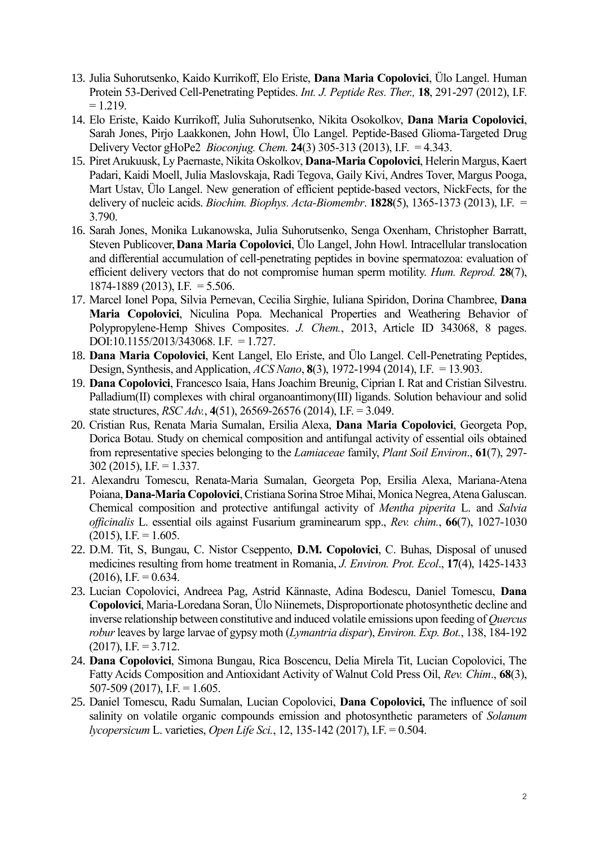- 13. Julia Suhorutsenko, Kaido Kurrikoff, Elo Eriste, **Dana Maria Copolovici**, Ülo Langel. Human Protein 53-Derived Cell-Penetrating Peptides. *Int. J. Peptide Res. Ther.,* **18**, 291-297 (2012), I.F.  $= 1.219.$
- 14. Elo Eriste, Kaido Kurrikoff, Julia Suhorutsenko, Nikita Osokolkov, **Dana Maria Copolovici**, Sarah Jones, Pirjo Laakkonen, John Howl, Ülo Langel. [Peptide-Based Glioma-Targeted Drug](http://apps.webofknowledge.com.ezproxy.utlib.ee/full_record.do?product=UA&search_mode=GeneralSearch&qid=1&SID=Y1e2Fr4ptzrk9rkODZc&page=1&doc=3)  [Delivery Vector gHoPe2](http://apps.webofknowledge.com.ezproxy.utlib.ee/full_record.do?product=UA&search_mode=GeneralSearch&qid=1&SID=Y1e2Fr4ptzrk9rkODZc&page=1&doc=3) *Bioconjug. Chem.* **24**(3) 305-313 (2013), I.F. = 4.343.
- 15. Piret Arukuusk, Ly Paernaste, Nikita Oskolkov, **Dana-Maria Copolovici**, Helerin Margus, Kaert Padari, Kaidi Moell, Julia Maslovskaja, Radi Tegova, Gaily Kivi, Andres Tover, Margus Pooga, Mart Ustav, Ülo Langel. [New generation of efficient peptide-based vectors, NickFects, for the](http://apps.webofknowledge.com.ezproxy.utlib.ee/full_record.do?product=UA&search_mode=GeneralSearch&qid=1&SID=Y1e2Fr4ptzrk9rkODZc&page=1&doc=2)  [delivery of nucleic acids.](http://apps.webofknowledge.com.ezproxy.utlib.ee/full_record.do?product=UA&search_mode=GeneralSearch&qid=1&SID=Y1e2Fr4ptzrk9rkODZc&page=1&doc=2) *Biochim. Biophys. Acta-Biomembr*. **1828**(5), 1365-1373 (2013), I.F. = 3.790.
- 16. Sarah Jones, Monika Lukanowska, Julia Suhorutsenko, Senga Oxenham, Christopher Barratt, Steven Publicover,**Dana Maria Copolovici**, Ülo Langel, John Howl. Intracellular translocation and differential accumulation of cell-penetrating peptides in bovine spermatozoa: evaluation of efficient delivery vectors that do not compromise human sperm motility. *Hum. Reprod.* **28**(7), 1874-1889 (2013), I.F. = 5.506.
- 17. Marcel Ionel Popa, Silvia Pernevan, Cecilia Sirghie, Iuliana Spiridon, Dorina Chambree, **Dana Maria Copolovici**, Niculina Popa. Mechanical Properties and Weathering Behavior of Polypropylene-Hemp Shives Composites. *J. Chem.*, 2013, Article ID 343068, 8 pages. DOI:10.1155/2013/343068. I.F. = 1.727.
- 18. **Dana Maria Copolovici**, Kent Langel, Elo Eriste, and Ülo Langel. Cell-Penetrating Peptides, Design, Synthesis, and Application, *ACS Nano*, **8**(3), 1972-1994 (2014), I.F. = 13.903.
- 19. **[Dana Copolovici](http://pubs.rsc.org/en/results?searchtext=Author%3ADana%20Copolovici)**, [Francesco Isaia,](http://pubs.rsc.org/en/results?searchtext=Author%3AFrancesco%20Isaia) [Hans Joachim Breunig,](http://pubs.rsc.org/en/results?searchtext=Author%3AHans%20Joachim%20Breunig) [Ciprian I. Rat](http://pubs.rsc.org/en/results?searchtext=Author%3ACiprian%20I.%20Rat) and [Cristian Silvestru.](http://pubs.rsc.org/en/results?searchtext=Author%3ACristian%20Silvestru) Palladium(II) complexes with chiral organoantimony(III) ligands. Solution behaviour and solid state structures, *RSC Adv.*, **4**(51), 26569-26576 (2014), I.F. = 3.049.
- 20. Cristian Rus, Renata Maria Sumalan, Ersilia Alexa, **Dana Maria Copolovici**, Georgeta Pop, Dorica Botau. Study on chemical composition and antifungal activity of essential oils obtained from representative species belonging to the *Lamiaceae* family, *Plant Soil Environ*., **61**(7), 297- 302 (2015), I.F. = 1.337.
- 21. Alexandru Tomescu, Renata-Maria Sumalan, Georgeta Pop, Ersilia Alexa, Mariana-Atena Poiana, **Dana-Maria Copolovici**, Cristiana Sorina Stroe Mihai, Monica Negrea, Atena Galuscan. Chemical composition and protective antifungal activity of *Mentha piperita* L. and *Salvia officinalis* L. essential oils against Fusarium graminearum spp., *Rev. chim.*, **66**(7), 1027-1030  $(2015)$ , I.F. = 1.605.
- 22. D.M. Tit, S, Bungau, C. Nistor Cseppento, **D.M. Copolovici**, C. Buhas, Disposal of unused medicines resulting from home treatment in Romania, *J. Environ. Prot. Ecol*., **17**(4), 1425-1433  $(2016)$ , I.F. = 0.634.
- 23. Lucian Copolovici, Andreea Pag, Astrid Kännaste, Adina Bodescu, Daniel Tomescu, **Dana Copolovici**, Maria-Loredana Soran, Ülo Niinemets, Disproportionate photosynthetic decline and inverse relationship between constitutive and induced volatile emissions upon feeding of *Quercus robur*leaves by large larvae of gypsy moth (*Lymantria dispar*), *Environ. Exp. Bot.*, 138, 184-192  $(2017)$ , I.F. = 3.712.
- 24. **Dana Copolovici**, Simona Bungau, Rica Boscencu, Delia Mirela Tit, Lucian Copolovici, The Fatty Acids Composition and Antioxidant Activity of Walnut Cold Press Oil, *Rev. Chim*., **68**(3),  $507-509$  (2017), I.F. = 1.605.
- 25. Daniel Tomescu, Radu Sumalan, Lucian Copolovici, **Dana Copolovici,** The influence of soil salinity on volatile organic compounds emission and photosynthetic parameters of *Solanum lycopersicum* L. varieties, *Open Life Sci.*, 12, 135-142 (2017), I.F. = 0.504.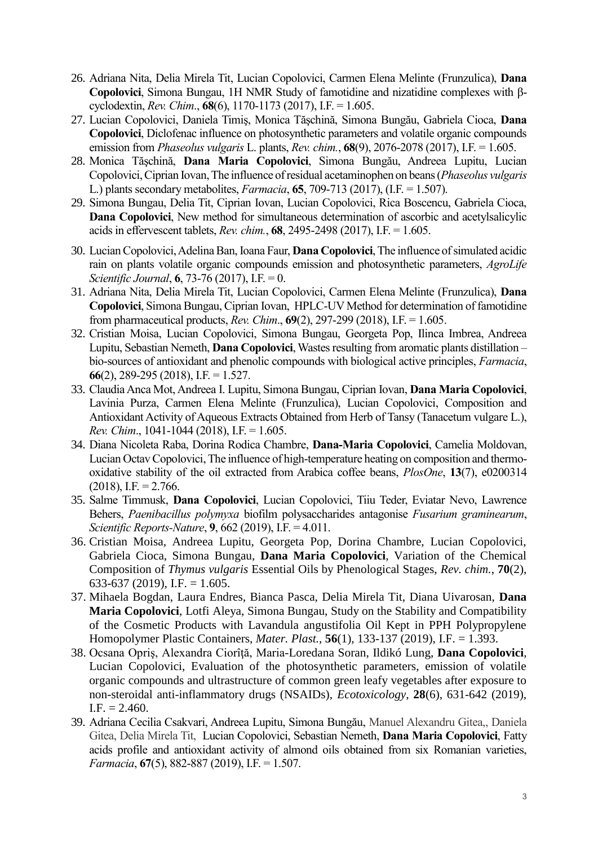- 26. Adriana Nita, Delia Mirela Tit, Lucian Copolovici, Carmen Elena Melinte (Frunzulica), **Dana Copolovici**, Simona Bungau, 1H NMR Study of famotidine and nizatidine complexes with βcyclodextin, *Rev. Chim*., **68**(6), 1170-1173 (2017), I.F. = 1.605.
- 27. Lucian Copolovici, Daniela Timiş, Monica Tăşchină, Simona Bungău, Gabriela Cioca, **Dana Copolovici**, Diclofenac influence on photosynthetic parameters and volatile organic compounds emission from *Phaseolus vulgaris* L. plants, *Rev. chim.*, **68**(9), 2076-2078 (2017), I.F. = 1.605.
- 28. Monica Tăşchină, **Dana Maria Copolovici**, Simona Bungău, Andreea Lupitu, Lucian Copolovici, Ciprian Iovan, The influence of residual acetaminophen on beans (*Phaseolus vulgaris* L.) plants secondary metabolites, *Farmacia*, **65**, 709-713 (2017), (I.F. = 1.507).
- 29. Simona Bungau, Delia Tit, Ciprian Iovan, Lucian Copolovici, Rica Boscencu, Gabriela Cioca, **Dana Copolovici**, New method for simultaneous determination of ascorbic and acetylsalicylic acids in effervescent tablets, *Rev. chim.*, **68**, 2495-2498 (2017), I.F. = 1.605.
- 30. Lucian Copolovici, Adelina Ban, Ioana Faur, **Dana Copolovici**, The influence of simulated acidic rain on plants volatile organic compounds emission and photosynthetic parameters, *AgroLife Scientific Journal*, **6**, 73-76 (2017), I.F. = 0.
- 31. Adriana Nita, Delia Mirela Tit, Lucian Copolovici, Carmen Elena Melinte (Frunzulica), **Dana Copolovici**, Simona Bungau, Ciprian Iovan, HPLC-UV Method for determination of famotidine from pharmaceutical products, *Rev. Chim*., **69**(2), 297-299 (2018), I.F. = 1.605.
- 32. Cristian Moisa, Lucian Copolovici, Simona Bungau, Georgeta Pop, Ilinca Imbrea, Andreea Lupitu, Sebastian Nemeth, **Dana Copolovici**, Wastes resulting from aromatic plants distillation – bio-sources of antioxidant and phenolic compounds with biological active principles, *Farmacia*, **66**(2), 289-295 (2018), I.F. = 1.527.
- 33. Claudia Anca Mot, Andreea I. Lupitu, Simona Bungau, Ciprian Iovan, **Dana Maria Copolovici**, Lavinia Purza, Carmen Elena Melinte (Frunzulica), Lucian Copolovici, Composition and Antioxidant Activity of Aqueous Extracts Obtained from Herb of Tansy (Tanacetum vulgare L.), *Rev. Chim*., 1041-1044 (2018), I.F. = 1.605.
- 34. Diana Nicoleta Raba, Dorina Rodica Chambre, **Dana-Maria Copolovici**, Camelia Moldovan, Lucian Octav Copolovici, The influence of high-temperature heating on composition and thermooxidative stability of the oil extracted from Arabica coffee beans, *PlosOne*, **13**(7), e0200314  $(2018)$ , I.F. = 2.766.
- 35. Salme Timmusk, **Dana Copolovici**, Lucian Copolovici, Tiiu Teder, Eviatar Nevo, Lawrence Behers, *Paenibacillus polymyxa* biofilm polysaccharides antagonise *Fusarium graminearum*, *Scientific Reports-Nature*, **9**, 662 (2019), I.F. = 4.011.
- 36. Cristian Moisa, Andreea Lupitu, Georgeta Pop, Dorina Chambre, Lucian Copolovici, Gabriela Cioca, Simona Bungau, **Dana Maria Copolovici**, Variation of the Chemical Composition of *Thymus vulgaris* Essential Oils by Phenological Stages, *Rev. chim.*, **70**(2),  $633-637$  (2019), I.F. = 1.605.
- 37. Mihaela Bogdan, Laura Endres, Bianca Pasca, Delia Mirela Tit, Diana Uivarosan, **Dana Maria Copolovici**, Lotfi Aleya, Simona Bungau, Study on the Stability and Compatibility of the Cosmetic Products with Lavandula angustifolia Oil Kept in PPH Polypropylene Homopolymer Plastic Containers, *Mater. Plast.,* **56**(1), 133-137 (2019), I.F. = 1.393.
- 38. Ocsana Opriş, Alexandra Ciorîţă, Maria-Loredana Soran, Ildikó Lung, **Dana Copolovici**, Lucian Copolovici, Evaluation of the photosynthetic parameters, emission of volatile organic compounds and ultrastructure of common green leafy vegetables after exposure to non-steroidal anti-inflammatory drugs (NSAIDs), *Ecotoxicology*, **28**(6), 631-642 (2019),  $I.F. = 2.460.$
- 39. Adriana Cecilia Csakvari, Andreea Lupitu, Simona Bungău, Manuel Alexandru Gitea,, Daniela Gitea, Delia Mirela Tit, Lucian Copolovici, Sebastian Nemeth, **Dana Maria Copolovici**, Fatty acids profile and antioxidant activity of almond oils obtained from six Romanian varieties, *Farmacia*, **67**(5), 882-887 (2019), I.F. = 1.507.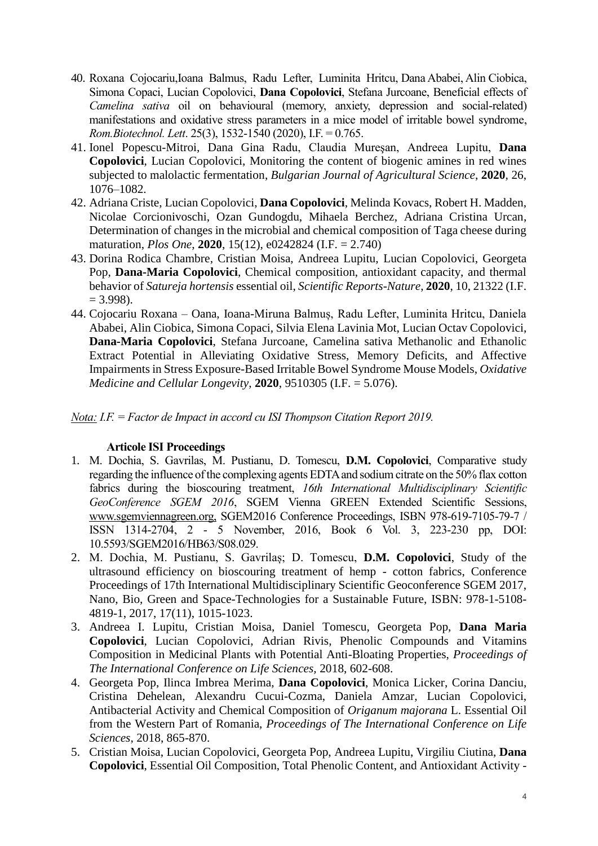- 40. Roxana Cojocariu,Ioana Balmus, Radu Lefter, Luminita Hritcu, Dana Ababei, Alin Ciobica, Simona Copaci, Lucian Copolovici, **Dana Copolovici**, Stefana Jurcoane, Beneficial effects of *Camelina sativa* oil on behavioural (memory, anxiety, depression and social-related) manifestations and oxidative stress parameters in a mice model of irritable bowel syndrome, *Rom.Biotechnol. Lett*. 25(3), 1532-1540 (2020), I.F. = 0.765.
- 41. Ionel Popescu-Mitroi, Dana Gina Radu, Claudia Mureşan, Andreea Lupitu, **Dana Copolovici**, Lucian Copolovici, Monitoring the content of biogenic amines in red wines subjected to malolactic fermentation, *Bulgarian Journal of Agricultural Science*, **2020**, 26, 1076–1082.
- 42. Adriana Criste, Lucian Copolovici, **Dana Copolovici**, Melinda Kovacs, Robert H. Madden, Nicolae Corcionivoschi, Ozan Gundogdu, Mihaela Berchez, Adriana Cristina Urcan, Determination of changes in the microbial and chemical composition of Taga cheese during maturation, *Plos One*, **2020**, 15(12), e0242824 (I.F. = 2.740)
- 43. Dorina Rodica Chambre, Cristian Moisa, Andreea Lupitu, Lucian Copolovici, Georgeta Pop, **Dana-Maria Copolovici**, Chemical composition, antioxidant capacity, and thermal behavior of *Satureja hortensis* essential oil, *Scientific Reports-Nature*, **2020**, 10, 21322 (I.F.  $= 3.998$ ).
- 44. Cojocariu Roxana Oana, Ioana-Miruna Balmuș, Radu Lefter, Luminita Hritcu, Daniela Ababei, Alin Ciobica, Simona Copaci, Silvia Elena Lavinia Mot, Lucian Octav Copolovici, **Dana-Maria Copolovici**, Stefana Jurcoane, Camelina sativa Methanolic and Ethanolic Extract Potential in Alleviating Oxidative Stress, Memory Deficits, and Affective Impairments in Stress Exposure-Based Irritable Bowel Syndrome Mouse Models, *Oxidative Medicine and Cellular Longevity*, **2020**, 9510305 (I.F. = 5.076).

*Nota: I.F. = Factor de Impact in accord cu ISI Thompson Citation Report 2019.*

## **Articole ISI Proceedings**

- 1. M. Dochia, S. Gavrilas, M. Pustianu, D. Tomescu, **D.M. Copolovici**, Comparative study regarding the influence of the complexing agents EDTA and sodium citrate on the 50% flax cotton fabrics during the bioscouring treatment, *16th International Multidisciplinary Scientific GeoConference SGEM 2016*, SGEM Vienna GREEN Extended Scientific Sessions, [www.sgemviennagreen.org,](http://www.sgemviennagreen.org/) SGEM2016 Conference Proceedings, ISBN 978-619-7105-79-7 / ISSN 1314-2704, 2 - 5 November, 2016, Book 6 Vol. 3, 223-230 pp, DOI: 10.5593/SGEM2016/HB63/S08.029.
- 2. M. Dochia, M. Pustianu, S. Gavrilaș; D. Tomescu, **D.M. Copolovici**, Study of the ultrasound efficiency on bioscouring treatment of hemp - cotton fabrics, Conference Proceedings of 17th International Multidisciplinary Scientific Geoconference SGEM 2017, Nano, Bio, Green and Space-Technologies for a Sustainable Future, ISBN: 978-1-5108- 4819-1, 2017, 17(11), 1015-1023.
- 3. Andreea I. Lupitu, Cristian Moisa, Daniel Tomescu, Georgeta Pop, **Dana Maria Copolovici**, Lucian Copolovici, Adrian Rivis, Phenolic Compounds and Vitamins Composition in Medicinal Plants with Potential Anti-Bloating Properties, *Proceedings of The International Conference on Life Sciences,* 2018, 602-608.
- 4. Georgeta Pop, Ilinca Imbrea Merima, **Dana Copolovici**, Monica Licker, Corina Danciu, Cristina Dehelean, Alexandru Cucui-Cozma, Daniela Amzar, Lucian Copolovici, Antibacterial Activity and Chemical Composition of *Origanum majorana* L. Essential Oil from the Western Part of Romania, *Proceedings of The International Conference on Life Sciences*, 2018, 865-870.
- 5. Cristian Moisa, Lucian Copolovici, Georgeta Pop, Andreea Lupitu, Virgiliu Ciutina, **Dana Copolovici**, Essential Oil Composition, Total Phenolic Content, and Antioxidant Activity -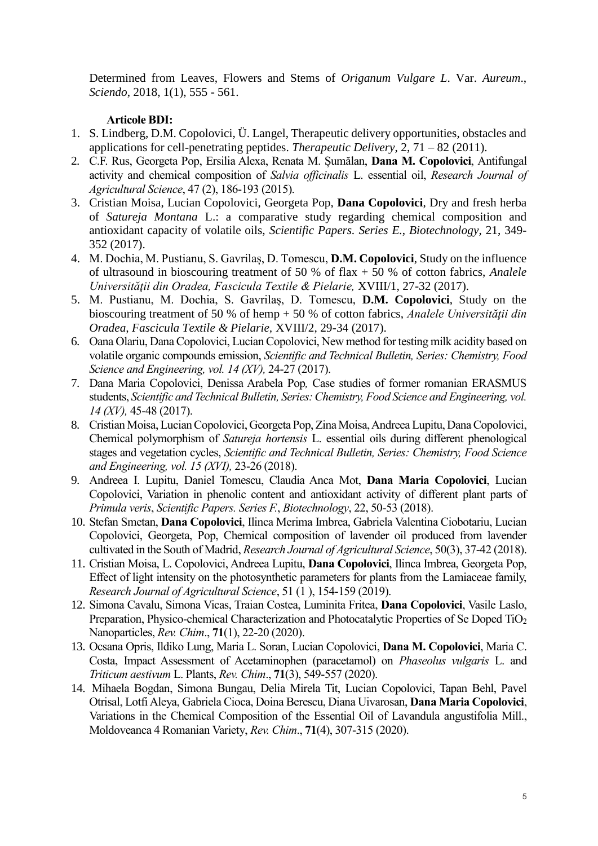Determined from Leaves, Flowers and Stems of *Origanum Vulgare L*. Var. *Aureum*., *Sciendo*, 2018, 1(1), 555 - 561.

#### **Articole BDI:**

- 1. S. Lindberg, D.M. Copolovici, Ü. Langel, Therapeutic delivery opportunities, obstacles and applications for cell-penetrating peptides. *Therapeutic Delivery*, 2, 71 – 82 (2011).
- 2. C.F. Rus, Georgeta Pop, Ersilia Alexa, Renata M. Șumălan, **Dana M. Copolovici**, Antifungal activity and chemical composition of *Salvia officinalis* L. essential oil, *Research Journal of Agricultural Science*, 47 (2), 186-193 (2015).
- 3. Cristian Moisa, Lucian Copolovici, Georgeta Pop, **Dana Copolovici**, Dry and fresh herba of *Satureja Montana* L.: a comparative study regarding chemical composition and antioxidant capacity of volatile oils, *Scientific Papers. Series E.*, *Biotechnology*, 21, 349- 352 (2017).
- 4. M. Dochia, M. Pustianu, S. Gavrilaș, D. Tomescu, **D.M. Copolovici**, Study on the influence of ultrasound in bioscouring treatment of 50 % of flax + 50 % of cotton fabrics, *Analele Universităţii din Oradea, Fascicula Textile & Pielarie,* XVIII/1, 27-32 (2017).
- 5. M. Pustianu, M. Dochia, S. Gavrilaș, D. Tomescu, **D.M. Copolovici**, Study on the bioscouring treatment of 50 % of hemp + 50 % of cotton fabrics, *Analele Universitătii din Oradea, Fascicula Textile & Pielarie,* XVIII/2, 29-34 (2017).
- 6. Oana Olariu, Dana Copolovici, Lucian Copolovici, New method for testing milk acidity based on volatile organic compounds emission, *Scientific and Technical Bulletin, Series: Chemistry, Food Science and Engineering, vol. 14 (XV),* 24-27 (2017).
- 7. Dana Maria Copolovici, Denissa Arabela Pop*,* Case studies of former romanian ERASMUS students, *Scientific and Technical Bulletin, Series: Chemistry, Food Science and Engineering, vol. 14 (XV),* 45-48 (2017).
- 8. Cristian Moisa, Lucian Copolovici, Georgeta Pop, Zina Moisa, Andreea Lupitu, Dana Copolovici, Chemical polymorphism of *Satureja hortensis* L. essential oils during different phenological stages and vegetation cycles, *Scientific and Technical Bulletin, Series: Chemistry, Food Science and Engineering, vol. 15 (XVI),* 23-26 (2018).
- 9. Andreea I. Lupitu, Daniel Tomescu, Claudia Anca Mot, **Dana Maria Copolovici**, Lucian Copolovici, Variation in phenolic content and antioxidant activity of different plant parts of *Primula veris*, *Scientific Papers. Series F.*, *Biotechnology*, 22, 50-53 (2018).
- 10. Stefan Smetan, **Dana Copolovici**, Ilinca Merima Imbrea, Gabriela Valentina Ciobotariu, Lucian Copolovici, Georgeta, Pop, Chemical composition of lavender oil produced from lavender cultivated in the South of Madrid, *Research Journal of Agricultural Science*, 50(3), 37-42 (2018).
- 11. Cristian Moisa, L. Copolovici, Andreea Lupitu, **Dana Copolovici**, Ilinca Imbrea, Georgeta Pop, Effect of light intensity on the photosynthetic parameters for plants from the Lamiaceae family, *Research Journal of Agricultural Science*, 51 (1 ), 154-159 (2019).
- 12. Simona Cavalu, Simona Vicas, Traian Costea, Luminita Fritea, **Dana Copolovici**, Vasile Laslo, Preparation, Physico-chemical Characterization and Photocatalytic Properties of Se Doped TiO<sub>2</sub> Nanoparticles, *Rev. Chim*., **71**(1), 22-20 (2020).
- 13. Ocsana Opris, Ildiko Lung, Maria L. Soran, Lucian Copolovici, **Dana M. Copolovici**, Maria C. Costa, Impact Assessment of Acetaminophen (paracetamol) on *Phaseolus vulgaris* L. and *Triticum aestivum* L. Plants, *Rev. Chim*., **71**(3), 549-557 (2020).
- 14. Mihaela Bogdan, Simona Bungau, Delia Mirela Tit, Lucian Copolovici, Tapan Behl, Pavel Otrisal, Lotfi Aleya, Gabriela Cioca, Doina Berescu, Diana Uivarosan, **Dana Maria Copolovici**, Variations in the Chemical Composition of the Essential Oil of Lavandula angustifolia Mill., Moldoveanca 4 Romanian Variety, *Rev. Chim*., **71**(4), 307-315 (2020).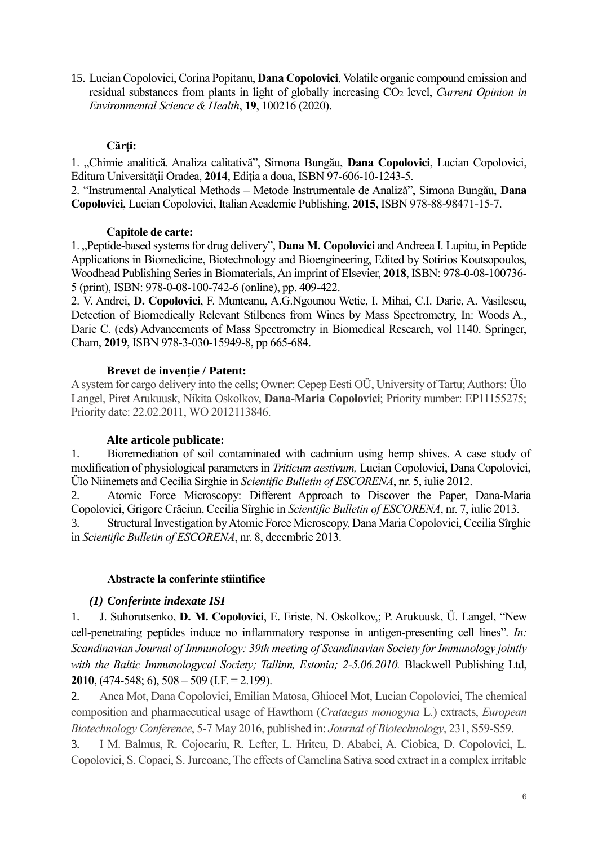15. Lucian Copolovici, Corina Popitanu, **Dana Copolovici**, Volatile organic compound emission and residual substances from plants in light of globally increasing CO<sub>2</sub> level, *Current Opinion in Environmental Science & Health*, **19**, 100216 (2020).

## **Cărţi:**

1. "Chimie analitică. Analiza calitativă", Simona Bungău, **Dana Copolovici**, Lucian Copolovici, Editura Universităţii Oradea, **2014**, Ediţia a doua, ISBN 97-606-10-1243-5.

2. "Instrumental Analytical Methods – Metode Instrumentale de Analizǎ", Simona Bungău, **Dana Copolovici**, Lucian Copolovici, Italian Academic Publishing, **2015**, ISBN 978-88-98471-15-7.

#### **Capitole de carte:**

1. "Peptide-based systems for drug delivery", **Dana M. Copolovici** and Andreea I. Lupitu, in Peptide Applications in Biomedicine, Biotechnology and Bioengineering, Edited by Sotirios Koutsopoulos, Woodhead Publishing Series in Biomaterials, An imprint of Elsevier, **2018**, ISBN: 978-0-08-100736- 5 (print), ISBN: 978-0-08-100-742-6 (online), pp. 409-422.

2. V. Andrei, **D. Copolovici**, F. Munteanu, A.G.Ngounou Wetie, I. Mihai, C.I. Darie, A. Vasilescu, Detection of Biomedically Relevant Stilbenes from Wines by Mass Spectrometry, In: Woods A., Darie C. (eds) Advancements of Mass Spectrometry in Biomedical Research, vol 1140. Springer, Cham, **2019**, ISBN 978-3-030-15949-8, pp 665-684.

## **Brevet de inventie / Patent:**

A system for cargo delivery into the cells; Owner: Cepep Eesti OÜ, University of Tartu; Authors: Ülo Langel, Piret Arukuusk, Nikita Oskolkov, **Dana-Maria Copolovici**; Priority number: EP11155275; Priority date: 22.02.2011, WO 2012113846.

## **Alte articole publicate:**

1. Bioremediation of soil contaminated with cadmium using hemp shives. A case study of modification of physiological parameters in *Triticum aestivum,* Lucian Copolovici, Dana Copolovici, Ülo Niinemets and Cecilia Sirghie in *Scientific Bulletin of ESCORENA*, nr. 5, iulie 2012.

2. Atomic Force Microscopy: Different Approach to Discover the Paper, Dana-Maria Copolovici, Grigore Crăciun, Cecilia Sîrghie in *Scientific Bulletin of ESCORENA*, nr. 7, iulie 2013.

3. Structural Investigation by Atomic Force Microscopy, Dana Maria Copolovici, Cecilia Sîrghie in *Scientific Bulletin of ESCORENA*, nr. 8, decembrie 2013.

## **Abstracte la conferinte stiintifice**

## *(1) Conferinte indexate ISI*

1. J. Suhorutsenko, **D. M. Copolovici**, E. Eriste, N. Oskolkov,; P. Arukuusk, Ü. Langel, "New cell-penetrating peptides induce no inflammatory response in antigen-presenting cell lines". *In: Scandinavian Journal of Immunology: 39th meeting of Scandinavian Society for Immunology jointly*  with the Baltic Immunologycal Society; Tallinn, Estonia; 2-5.06.2010. Blackwell Publishing Ltd, **2010**, (474-548; 6), 508 – 509 (I.F. = 2.199).

2. Anca Mot, Dana Copolovici, Emilian Matosa, Ghiocel Mot, Lucian Copolovici, The chemical composition and pharmaceutical usage of Hawthorn (*Crataegus monogyna* L.) extracts, *European Biotechnology Conference*, 5-7 May 2016, published in: *Journal of Biotechnology*, 231, S59-S59.

3. I M. Balmus, R. Cojocariu, R. Lefter, L. Hritcu, D. Ababei, A. Ciobica, D. Copolovici, L. Copolovici, S. Copaci, S. Jurcoane, The effects of Camelina Sativa seed extract in a complex irritable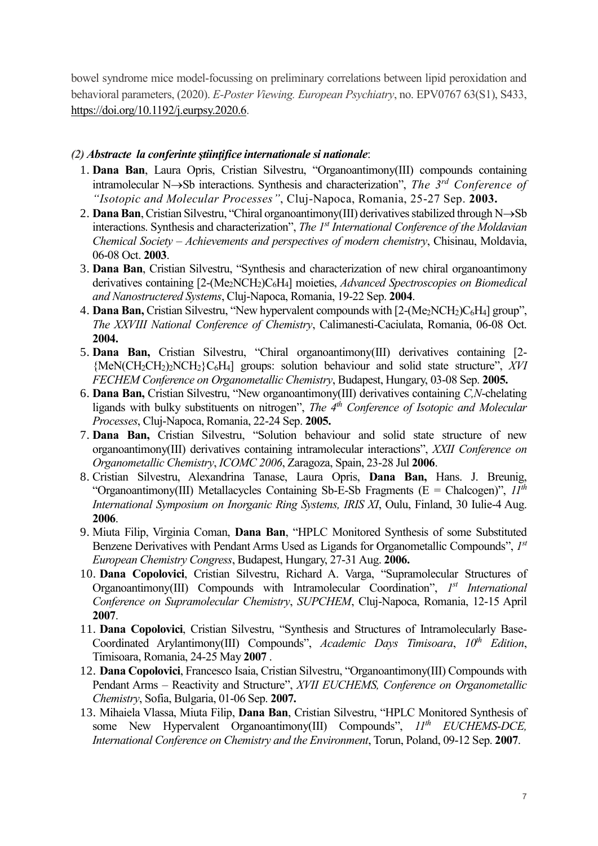bowel syndrome mice model-focussing on preliminary correlations between lipid peroxidation and behavioral parameters, (2020). *E-Poster Viewing. European Psychiatry*, no. EPV0767 63(S1), S433, [https://doi.org/10.1192/j.eurpsy.2020.6.](https://doi.org/10.1192/j.eurpsy.2020.6)

#### *(2) Abstracte la conferinte ştiinţifice internationale si nationale*:

- 1. **Dana Ban**, Laura Opris, Cristian Silvestru, "Organoantimony(III) compounds containing intramolecular N $\rightarrow$ Sb interactions. Synthesis and characterization", *The 3<sup>rd</sup> Conference of "Isotopic and Molecular Processes"*, Cluj-Napoca, Romania, 25-27 Sep. **2003.**
- 2. **Dana Ban**, Cristian Silvestru, "Chiral organoantimony(III) derivatives stabilized through N $\rightarrow$ Sb interactions. Synthesis and characterization", *The 1st International Conference of the Moldavian Chemical Society – Achievements and perspectives of modern chemistry*, Chisinau, Moldavia, 06-08 Oct. **2003**.
- 3. **Dana Ban**, Cristian Silvestru, "Synthesis and characterization of new chiral organoantimony derivatives containing [2-(Me<sub>2</sub>NCH<sub>2</sub>)C<sub>6</sub>H<sub>4</sub>] moieties, *Advanced Spectroscopies on Biomedical and Nanostructered Systems*, Cluj-Napoca, Romania, 19-22 Sep. **2004**.
- 4. **Dana Ban,** Cristian Silvestru, "New hypervalent compounds with [2-(Me<sub>2</sub>NCH<sub>2</sub>)C<sub>6</sub>H<sub>4</sub>] group", *The XXVIII National Conference of Chemistry*, Calimanesti-Caciulata, Romania, 06-08 Oct. **2004.**
- 5. **Dana Ban,** Cristian Silvestru, "Chiral organoantimony(III) derivatives containing [2- {MeN(CH2CH2)2NCH2}C6H4] groups: solution behaviour and solid state structure", *XVI FECHEM Conference on Organometallic Chemistry*, Budapest, Hungary, 03-08 Sep. **2005.**
- 6. **Dana Ban,** Cristian Silvestru, "New organoantimony(III) derivatives containing *C,N*-chelating ligands with bulky substituents on nitrogen", *The 4th Conference of Isotopic and Molecular Processes*, Cluj-Napoca, Romania, 22-24 Sep. **2005.**
- 7. **Dana Ban,** Cristian Silvestru, "Solution behaviour and solid state structure of new organoantimony(III) derivatives containing intramolecular interactions", *XXII Conference on Organometallic Chemistry*, *ICOMC 2006*, Zaragoza, Spain, 23-28 Jul **2006**.
- 8. Cristian Silvestru, Alexandrina Tanase, Laura Opris, **Dana Ban,** Hans. J. Breunig, "Organoantimony(III) Metallacycles Containing Sb-E-Sb Fragments (E = Chalcogen)", *11th International Symposium on Inorganic Ring Systems, IRIS XI*, Oulu, Finland, 30 Iulie-4 Aug. **2006**.
- 9. Miuta Filip, Virginia Coman, **Dana Ban**, "HPLC Monitored Synthesis of some Substituted Benzene Derivatives with Pendant Arms Used as Ligands for Organometallic Compounds", *1 st European Chemistry Congress*, Budapest, Hungary, 27-31 Aug. **2006.**
- 10. **Dana Copolovici**, Cristian Silvestru, Richard A. Varga, "Supramolecular Structures of Organoantimony(III) Compounds with Intramolecular Coordination",  $I<sup>st</sup> International$ *Conference on Supramolecular Chemistry*, *SUPCHEM*, Cluj-Napoca, Romania, 12-15 April **2007**.
- 11. **Dana Copolovici**, Cristian Silvestru, "Synthesis and Structures of Intramolecularly Base-Coordinated Arylantimony(III) Compounds", *Academic Days Timisoara*, *10th Edition*, Timisoara, Romania, 24-25 May **2007** .
- 12. **Dana Copolovici**, Francesco Isaia, Cristian Silvestru, "Organoantimony(III) Compounds with Pendant Arms – Reactivity and Structure", *XVII EUCHEMS, Conference on Organometallic Chemistry*, Sofia, Bulgaria, 01-06 Sep. **2007.**
- 13. Mihaiela Vlassa, Miuta Filip, **Dana Ban**, Cristian Silvestru, "HPLC Monitored Synthesis of some New Hypervalent Organoantimony(III) Compounds", *11th EUCHEMS-DCE, International Conference on Chemistry and the Environment*, Torun, Poland, 09-12 Sep. **2007**.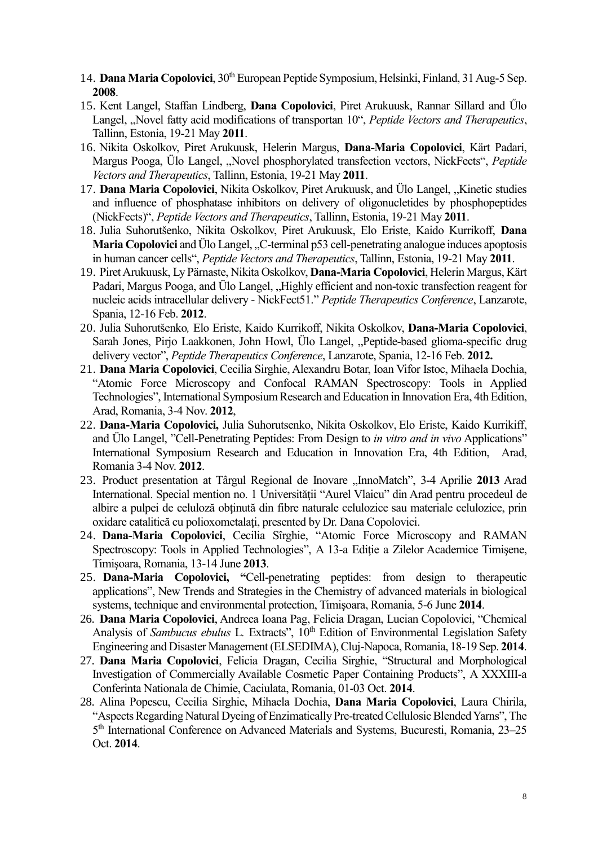- 14. **Dana Maria Copolovici**, 30th European Peptide Symposium, Helsinki, Finland, 31 Aug-5 Sep. **2008**.
- 15. Kent Langel, Staffan Lindberg, **Dana Copolovici**, Piret Arukuusk, Rannar Sillard and Űlo Langel, "Novel fatty acid modifications of transportan 10", *Peptide Vectors and Therapeutics*, Tallinn, Estonia, 19-21 May **2011**.
- 16. Nikita Oskolkov, Piret Arukuusk, Helerin Margus, **Dana-Maria Copolovici**, Kärt Padari, Margus Pooga, Ülo Langel, "Novel phosphorylated transfection vectors, NickFects", *Peptide Vectors and Therapeutics*, Tallinn, Estonia, 19-21 May **2011**.
- 17. **Dana Maria Copolovici**, Nikita Oskolkov, Piret Arukuusk, and Ülo Langel, "Kinetic studies and influence of phosphatase inhibitors on delivery of oligonucletides by phosphopeptides (NickFects)", *Peptide Vectors and Therapeutics*, Tallinn, Estonia, 19-21 May **2011**.
- 18. Julia Suhorutšenko, Nikita Oskolkov, Piret Arukuusk, Elo Eriste, Kaido Kurrikoff, **Dana Maria Copolovici** and Ülo Langel, "C-terminal p53 cell-penetrating analogue induces apoptosis in human cancer cells", *Peptide Vectors and Therapeutics*, Tallinn, Estonia, 19-21 May **2011**.
- 19. Piret Arukuusk, Ly Pärnaste, Nikita Oskolkov, **Dana-Maria Copolovici**, Helerin Margus, Kärt Padari, Margus Pooga, and Ülo Langel, "Highly efficient and non-toxic transfection reagent for nucleic acids intracellular delivery - NickFect51." *Peptide Therapeutics Conference*, Lanzarote, Spania, 12-16 Feb. **2012**.
- 20. Julia Suhorutšenko*,* Elo Eriste, Kaido Kurrikoff, Nikita Oskolkov, **Dana-Maria Copolovici**, Sarah Jones, Pirjo Laakkonen, John Howl, Ülo Langel, "Peptide-based glioma-specific drug delivery vector", *Peptide Therapeutics Conference*, Lanzarote, Spania, 12-16 Feb. **2012.**
- 21. **Dana Maria Copolovici**, Cecilia Sirghie, Alexandru Botar, Ioan Vifor Istoc, Mihaela Dochia, "Atomic Force Microscopy and Confocal RAMAN Spectroscopy: Tools in Applied Technologies", International Symposium Research and Education in Innovation Era, 4th Edition, Arad, Romania, 3-4 Nov. **2012**,
- 22. **Dana-Maria Copolovici,** Julia Suhorutsenko, Nikita Oskolkov, Elo Eriste, Kaido Kurrikiff, and Ülo Langel, "Cell-Penetrating Peptides: From Design to *in vitro and in vivo* Applications" International Symposium Research and Education in Innovation Era, 4th Edition, Arad, Romania 3-4 Nov. **2012**.
- 23. Product presentation at Târgul Regional de Inovare "InnoMatch", 3-4 Aprilie **2013** Arad International. Special mention no. 1 Universităţii "Aurel Vlaicu" din Arad pentru procedeul de albire a pulpei de celuloză obţinută din fibre naturale celulozice sau materiale celulozice, prin oxidare catalitică cu polioxometalaţi, presented by Dr. Dana Copolovici.
- 24. **Dana-Maria Copolovici**, Cecilia Sîrghie, "Atomic Force Microscopy and RAMAN Spectroscopy: Tools in Applied Technologies", A 13-a Ediţie a Zilelor Academice Timişene, Timişoara, Romania, 13-14 June **2013**.
- 25. **Dana-Maria Copolovici, "**Cell-penetrating peptides: from design to therapeutic applications", New Trends and Strategies in the Chemistry of advanced materials in biological systems, technique and environmental protection, Timişoara, Romania, 5-6 June **2014**.
- 26. **Dana Maria Copolovici**, Andreea Ioana Pag, Felicia Dragan, Lucian Copolovici, "Chemical Analysis of *Sambucus ebulus* L*.* Extracts", 10th Edition of Environmental Legislation Safety Engineering and Disaster Management (ELSEDIMA), Cluj-Napoca, Romania, 18-19 Sep. **2014**.
- 27. **Dana Maria Copolovici**, Felicia Dragan, Cecilia Sirghie, "Structural and Morphological Investigation of Commercially Available Cosmetic Paper Containing Products", A XXXIII-a Conferinta Nationala de Chimie, Caciulata, Romania, 01-03 Oct. **2014**.
- 28. Alina Popescu, Cecilia Sirghie, Mihaela Dochia, **Dana Maria Copolovici**, Laura Chirila, "Aspects Regarding Natural Dyeing of Enzimatically Pre-treated Cellulosic Blended Yarns", The 5<sup>th</sup> International Conference on Advanced Materials and Systems, Bucuresti, Romania, 23-25 Oct. **2014**.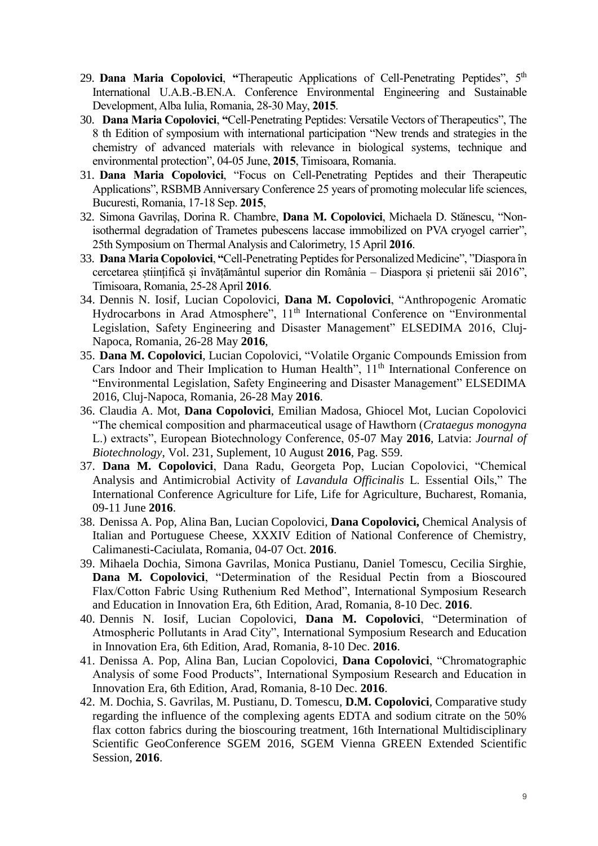- 29. **Dana Maria Copolovici, "Therapeutic Applications of Cell-Penetrating Peptides", 5<sup>th</sup>** International U.A.B.-B.EN.A. Conference Environmental Engineering and Sustainable Development, Alba Iulia, Romania, 28-30 May, **2015**.
- 30. **Dana Maria Copolovici**, **"**Cell-Penetrating Peptides: Versatile Vectors of Therapeutics", The 8 th Edition of symposium with international participation "New trends and strategies in the chemistry of advanced materials with relevance in biological systems, technique and environmental protection", 04-05 June, **2015**, Timisoara, Romania.
- 31. **Dana Maria Copolovici**, "Focus on Cell-Penetrating Peptides and their Therapeutic Applications", RSBMB Anniversary Conference 25 years of promoting molecular life sciences, Bucuresti, Romania, 17-18 Sep. **2015**,
- 32. Simona Gavrilaş, Dorina R. Chambre, **Dana M. Copolovici**, Michaela D. Stӑnescu, "Nonisothermal degradation of Trametes pubescens laccase immobilized on PVA cryogel carrier", 25th Symposium on Thermal Analysis and Calorimetry, 15 April **2016**.
- 33. **Dana Maria Copolovici**, **"**Cell-Penetrating Peptides for Personalized Medicine", "Diaspora în cercetarea științifică și învățământul superior din România – Diaspora și prietenii săi 2016", Timisoara, Romania, 25-28 April **2016**.
- 34. Dennis N. Iosif, Lucian Copolovici, **Dana M. Copolovici**, "Anthropogenic Aromatic Hydrocarbons in Arad Atmosphere", 11<sup>th</sup> International Conference on "Environmental Legislation, Safety Engineering and Disaster Management" ELSEDIMA 2016, Cluj-Napoca, Romania, 26-28 May **2016**,
- 35. **Dana M. Copolovici**, Lucian Copolovici, "Volatile Organic Compounds Emission from Cars Indoor and Their Implication to Human Health", 11<sup>th</sup> International Conference on "Environmental Legislation, Safety Engineering and Disaster Management" ELSEDIMA 2016, Cluj-Napoca, Romania, 26-28 May **2016**.
- 36. Claudia A. Mot, **Dana Copolovici**, Emilian Madosa, Ghiocel Mot, Lucian Copolovici "The chemical composition and pharmaceutical usage of Hawthorn (*Crataegus monogyna* L.) extracts", European Biotechnology Conference, 05-07 May **2016**, Latvia: *Journal of Biotechnology*, Vol. 231, Suplement, 10 August **2016**, Pag. S59.
- 37. **Dana M. Copolovici**, Dana Radu, Georgeta Pop, Lucian Copolovici, "Chemical Analysis and Antimicrobial Activity of *Lavandula Officinalis* L. Essential Oils," The International Conference Agriculture for Life, Life for Agriculture, Bucharest, Romania, 09-11 June **2016**.
- 38. Denissa A. Pop, Alina Ban, Lucian Copolovici, **Dana Copolovici,** Chemical Analysis of Italian and Portuguese Cheese, XXXIV Edition of National Conference of Chemistry, Calimanesti-Caciulata, Romania, 04-07 Oct. **2016**.
- 39. Mihaela Dochia, Simona Gavrilas, Monica Pustianu, Daniel Tomescu, Cecilia Sirghie, **Dana M. Copolovici**, "Determination of the Residual Pectin from a Bioscoured Flax/Cotton Fabric Using Ruthenium Red Method", International Symposium Research and Education in Innovation Era, 6th Edition, Arad, Romania, 8-10 Dec. **2016**.
- 40. Dennis N. Iosif, Lucian Copolovici, **Dana M. Copolovici**, "Determination of Atmospheric Pollutants in Arad City", International Symposium Research and Education in Innovation Era, 6th Edition, Arad, Romania, 8-10 Dec. **2016**.
- 41. Denissa A. Pop, Alina Ban, Lucian Copolovici, **Dana Copolovici**, "Chromatographic Analysis of some Food Products", International Symposium Research and Education in Innovation Era, 6th Edition, Arad, Romania, 8-10 Dec. **2016**.
- 42. M. Dochia, S. Gavrilas, M. Pustianu, D. Tomescu, **D.M. Copolovici**, Comparative study regarding the influence of the complexing agents EDTA and sodium citrate on the 50% flax cotton fabrics during the bioscouring treatment, 16th International Multidisciplinary Scientific GeoConference SGEM 2016, SGEM Vienna GREEN Extended Scientific Session, **2016**.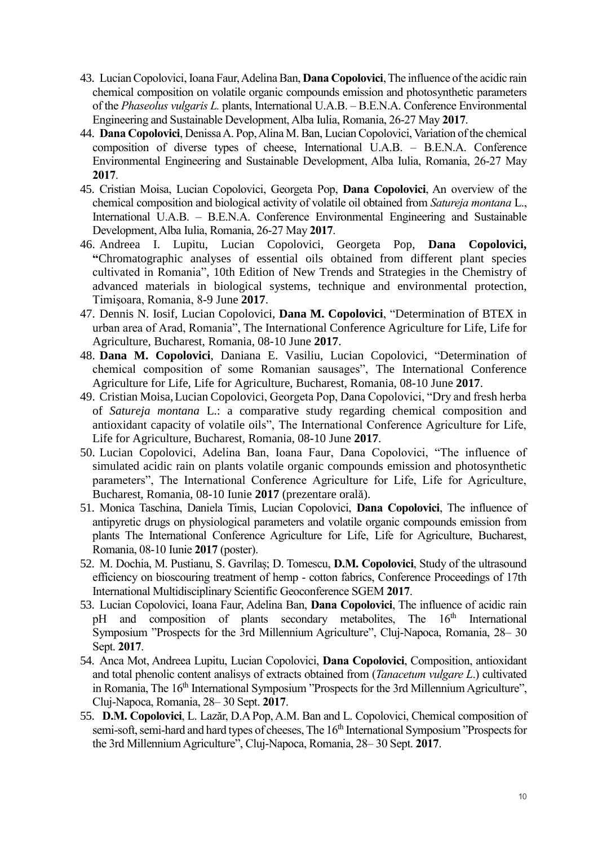- 43. Lucian Copolovici, Ioana Faur, Adelina Ban, **Dana Copolovici**, The influence of the acidic rain chemical composition on volatile organic compounds emission and photosynthetic parameters of the *Phaseolus vulgaris L.* plants, International U.A.B. – B.E.N.A. Conference Environmental Engineering and Sustainable Development, Alba Iulia, Romania, 26-27 May **2017**.
- 44. **Dana Copolovici**, Denissa A. Pop, Alina M. Ban, Lucian Copolovici, Variation of the chemical composition of diverse types of cheese, International U.A.B. – B.E.N.A. Conference Environmental Engineering and Sustainable Development, Alba Iulia, Romania, 26-27 May **2017**.
- 45. Cristian Moisa, Lucian Copolovici, Georgeta Pop, **Dana Copolovici**, An overview of the chemical composition and biological activity of volatile oil obtained from *Satureja montana* L., International U.A.B. – B.E.N.A. Conference Environmental Engineering and Sustainable Development, Alba Iulia, Romania, 26-27 May **2017**.
- 46. Andreea I. Lupitu, Lucian Copolovici, Georgeta Pop, **Dana Copolovici, "**Chromatographic analyses of essential oils obtained from different plant species cultivated in Romania", 10th Edition of New Trends and Strategies in the Chemistry of advanced materials in biological systems, technique and environmental protection, Timişoara, Romania, 8-9 June **2017**.
- 47. Dennis N. Iosif, Lucian Copolovici, **Dana M. Copolovici**, "Determination of BTEX in urban area of Arad, Romania", The International Conference Agriculture for Life, Life for Agriculture, Bucharest, Romania, 08-10 June **2017**.
- 48. **Dana M. Copolovici**, Daniana E. Vasiliu, Lucian Copolovici, "Determination of chemical composition of some Romanian sausages", The International Conference Agriculture for Life, Life for Agriculture, Bucharest, Romania, 08-10 June **2017**.
- 49. Cristian Moisa,Lucian Copolovici, Georgeta Pop, Dana Copolovici, "Dry and fresh herba of *Satureja montana* L.: a comparative study regarding chemical composition and antioxidant capacity of volatile oils", The International Conference Agriculture for Life, Life for Agriculture, Bucharest, Romania, 08-10 June **2017**.
- 50. Lucian Copolovici, Adelina Ban, Ioana Faur, Dana Copolovici, "The influence of simulated acidic rain on plants volatile organic compounds emission and photosynthetic parameters", The International Conference Agriculture for Life, Life for Agriculture, Bucharest, Romania, 08-10 Iunie **2017** (prezentare orală).
- 51. Monica Taschina, Daniela Timis, Lucian Copolovici, **Dana Copolovici**, The influence of antipyretic drugs on physiological parameters and volatile organic compounds emission from plants The International Conference Agriculture for Life, Life for Agriculture, Bucharest, Romania, 08-10 Iunie **2017** (poster).
- 52. M. Dochia, M. Pustianu, S. Gavrilaș; D. Tomescu, **D.M. Copolovici**, Study of the ultrasound efficiency on bioscouring treatment of hemp - cotton fabrics, Conference Proceedings of 17th International Multidisciplinary Scientific Geoconference SGEM **2017**.
- 53. Lucian Copolovici, Ioana Faur, Adelina Ban, **Dana Copolovici**, The influence of acidic rain pH and composition of plants secondary metabolites, The 16<sup>th</sup> International Symposium "Prospects for the 3rd Millennium Agriculture", Cluj-Napoca, Romania, 28– 30 Sept. **2017**.
- 54. Anca Mot, Andreea Lupitu, Lucian Copolovici, **Dana Copolovici**, Composition, antioxidant and total phenolic content analisys of extracts obtained from (*Tanacetum vulgare L*.) cultivated in Romania, The 16<sup>th</sup> International Symposium "Prospects for the 3rd Millennium Agriculture", Cluj-Napoca, Romania, 28– 30 Sept. **2017**.
- 55. **D.M. Copolovici**, L. Lazăr, D.A Pop, A.M. Ban and L. Copolovici, Chemical composition of semi-soft, semi-hard and hard types of cheeses, The 16<sup>th</sup> International Symposium "Prospects for the 3rd Millennium Agriculture", Cluj-Napoca, Romania, 28– 30 Sept. **2017**.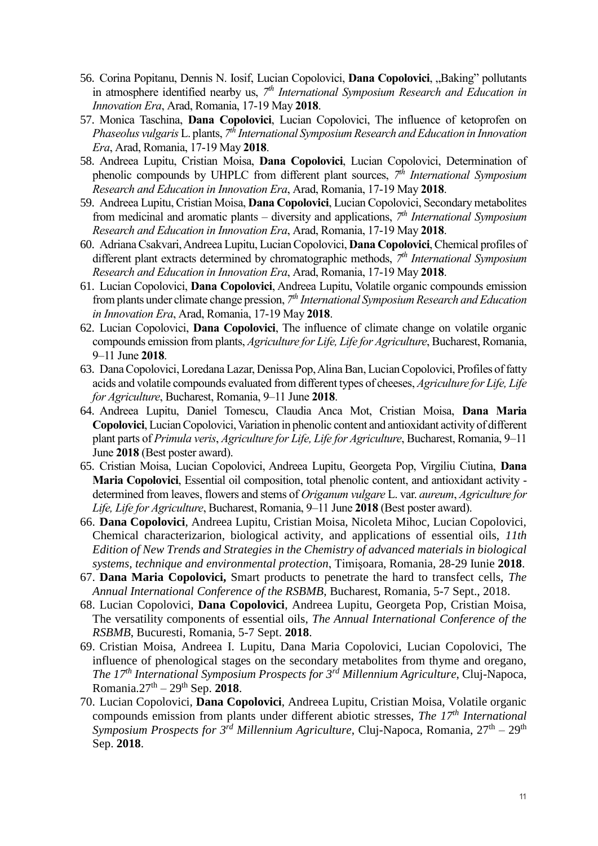- 56. Corina Popitanu, Dennis N. Iosif, Lucian Copolovici, **Dana Copolovici**, "Baking" pollutants in atmosphere identified nearby us, *7 th International Symposium Research and Education in Innovation Era*, Arad, Romania, 17-19 May **2018**.
- 57. Monica Taschina, **Dana Copolovici**, Lucian Copolovici, The influence of ketoprofen on *Phaseolus vulgaris* L. plants, *7 th International Symposium Research and Education in Innovation Era*, Arad, Romania, 17-19 May **2018**.
- 58. Andreea Lupitu, Cristian Moisa, **Dana Copolovici**, Lucian Copolovici, Determination of phenolic compounds by UHPLC from different plant sources, *7 th International Symposium Research and Education in Innovation Era*, Arad, Romania, 17-19 May **2018**.
- 59. Andreea Lupitu, Cristian Moisa, **Dana Copolovici**, Lucian Copolovici, Secondary metabolites from medicinal and aromatic plants – diversity and applications, *7 th International Symposium Research and Education in Innovation Era*, Arad, Romania, 17-19 May **2018**.
- 60. Adriana Csakvari, Andreea Lupitu, Lucian Copolovici, **Dana Copolovici**, Chemical profiles of different plant extracts determined by chromatographic methods, *7 th International Symposium Research and Education in Innovation Era*, Arad, Romania, 17-19 May **2018**.
- 61. Lucian Copolovici, **Dana Copolovici**, Andreea Lupitu, Volatile organic compounds emission from plants under climate change pression, *7 th International Symposium Research and Education in Innovation Era*, Arad, Romania, 17-19 May **2018**.
- 62. Lucian Copolovici, **Dana Copolovici**, The influence of climate change on volatile organic compounds emission from plants, *Agriculture for Life, Life for Agriculture*, Bucharest, Romania, 9–11 June **2018**.
- 63. Dana Copolovici, Loredana Lazar, Denissa Pop, Alina Ban, Lucian Copolovici, Profiles of fatty acids and volatile compounds evaluated from different types of cheeses, *Agriculture for Life, Life for Agriculture*, Bucharest, Romania, 9–11 June **2018**.
- 64. Andreea Lupitu, Daniel Tomescu, Claudia Anca Mot, Cristian Moisa, **Dana Maria Copolovici**, Lucian Copolovici, Variation in phenolic content and antioxidant activity of different plant parts of *Primula veris*, *Agriculture for Life, Life for Agriculture*, Bucharest, Romania, 9–11 June **2018** (Best poster award).
- 65. Cristian Moisa, Lucian Copolovici, Andreea Lupitu, Georgeta Pop, Virgiliu Ciutina, **Dana Maria Copolovici**, Essential oil composition, total phenolic content, and antioxidant activity determined from leaves, flowers and stems of *Origanum vulgare* L. var. *aureum*, *Agriculture for Life, Life for Agriculture*, Bucharest, Romania, 9–11 June **2018** (Best poster award).
- 66. **Dana Copolovici**, Andreea Lupitu, Cristian Moisa, Nicoleta Mihoc, Lucian Copolovici, Chemical characterizarion, biological activity, and applications of essential oils, *11th Edition of New Trends and Strategies in the Chemistry of advanced materials in biological systems, technique and environmental protection*, Timişoara, Romania, 28-29 Iunie **2018**.
- 67. **Dana Maria Copolovici,** Smart products to penetrate the hard to transfect cells, *The Annual International Conference of the RSBMB*, Bucharest, Romania, 5-7 Sept., 2018.
- 68. Lucian Copolovici, **Dana Copolovici**, Andreea Lupitu, Georgeta Pop, Cristian Moisa, The versatility components of essential oils, *The Annual International Conference of the RSBMB*, Bucuresti, Romania, 5-7 Sept. **2018**.
- 69. Cristian Moisa, Andreea I. Lupitu, Dana Maria Copolovici, Lucian Copolovici, The influence of phenological stages on the secondary metabolites from thyme and oregano, *The 17th International Symposium Prospects for 3rd Millennium Agriculture*, Cluj-Napoca, Romania.27th – 29th Sep. **2018**.
- 70. Lucian Copolovici, **Dana Copolovici**, Andreea Lupitu, Cristian Moisa, Volatile organic compounds emission from plants under different abiotic stresses, *The 17th International Symposium Prospects for 3rd Millennium Agriculture*, Cluj-Napoca, Romania, 27th – 29th Sep. **2018**.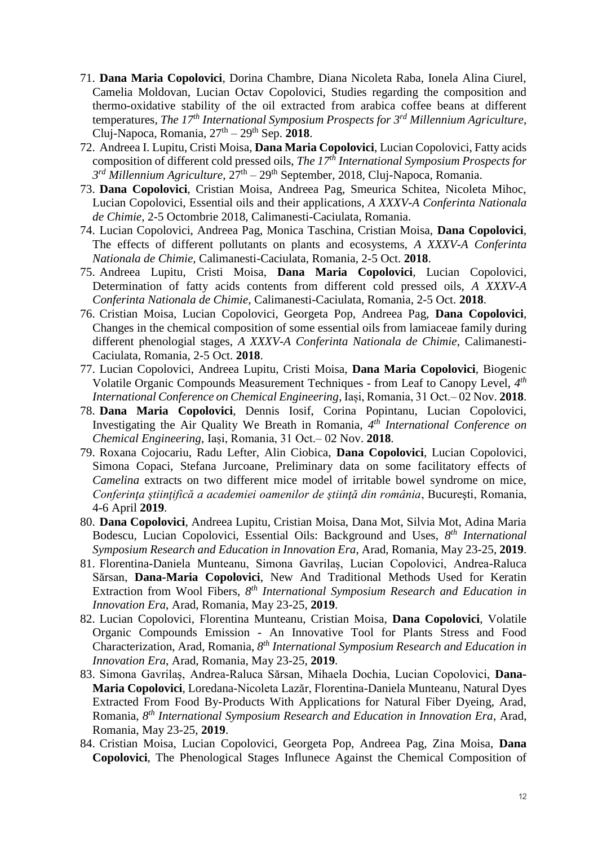- 71. **Dana Maria Copolovici**, Dorina Chambre, Diana Nicoleta Raba, Ionela Alina Ciurel, Camelia Moldovan, Lucian Octav Copolovici, Studies regarding the composition and thermo-oxidative stability of the oil extracted from arabica coffee beans at different temperatures, *The 17th International Symposium Prospects for 3rd Millennium Agriculture*, Cluj-Napoca, Romania, 27th – 29th Sep. **2018**.
- 72. Andreea I. Lupitu, Cristi Moisa, **Dana Maria Copolovici**, Lucian Copolovici, Fatty acids composition of different cold pressed oils, *The 17th International Symposium Prospects for 3 rd Millennium Agriculture*, 27th – 29th September, 2018, Cluj-Napoca, Romania.
- 73. **Dana Copolovici**, Cristian Moisa, Andreea Pag, Smeurica Schitea, Nicoleta Mihoc, Lucian Copolovici, Essential oils and their applications, *A XXXV-A Conferinta Nationala de Chimie,* 2-5 Octombrie 2018, Calimanesti-Caciulata, Romania.
- 74. Lucian Copolovici, Andreea Pag, Monica Taschina, Cristian Moisa, **Dana Copolovici**, The effects of different pollutants on plants and ecosystems, *A XXXV-A Conferinta Nationala de Chimie,* Calimanesti-Caciulata, Romania, 2-5 Oct. **2018**.
- 75. Andreea Lupitu, Cristi Moisa, **Dana Maria Copolovici**, Lucian Copolovici, Determination of fatty acids contents from different cold pressed oils, *A XXXV-A Conferinta Nationala de Chimie,* Calimanesti-Caciulata, Romania, 2-5 Oct. **2018**.
- 76. Cristian Moisa, Lucian Copolovici, Georgeta Pop, Andreea Pag, **Dana Copolovici**, Changes in the chemical composition of some essential oils from lamiaceae family during different phenologial stages, *A XXXV-A Conferinta Nationala de Chimie,* Calimanesti-Caciulata, Romania, 2-5 Oct. **2018**.
- 77. Lucian Copolovici, Andreea Lupitu, Cristi Moisa, **Dana Maria Copolovici**, Biogenic Volatile Organic Compounds Measurement Techniques - from Leaf to Canopy Level, *4 th International Conference on Chemical Engineering*, Iași, Romania, 31 Oct.– 02 Nov. **2018**.
- 78. **Dana Maria Copolovici**, Dennis Iosif, Corina Popintanu, Lucian Copolovici, Investigating the Air Quality We Breath in Romania, *4 th International Conference on Chemical Engineering*, Iași, Romania, 31 Oct.– 02 Nov. **2018**.
- 79. Roxana Cojocariu, Radu Lefter, Alin Ciobica, **Dana Copolovici**, Lucian Copolovici, Simona Copaci, Stefana Jurcoane, Preliminary data on some facilitatory effects of *Camelina* extracts on two different mice model of irritable bowel syndrome on mice, *Conferinţa ştiinţifică a academiei oamenilor de ştiinţă din românia*, Bucureşti, Romania, 4-6 April **2019**.
- 80. **Dana Copolovici**, Andreea Lupitu, Cristian Moisa, Dana Mot, Silvia Mot, Adina Maria Bodescu, Lucian Copolovici, Essential Oils: Background and Uses, *8 th International Symposium Research and Education in Innovation Era*, Arad, Romania, May 23-25, **2019**.
- 81. Florentina-Daniela Munteanu, Simona Gavrilaș, Lucian Copolovici, Andrea-Raluca Sărsan, **Dana-Maria Copolovici**, New And Traditional Methods Used for Keratin Extraction from Wool Fibers, 8<sup>th</sup> International Symposium Research and Education in *Innovation Era*, Arad, Romania, May 23-25, **2019**.
- 82. Lucian Copolovici, Florentina Munteanu, Cristian Moisa, **Dana Copolovici**, Volatile Organic Compounds Emission - An Innovative Tool for Plants Stress and Food Characterization, Arad, Romania, *8 th International Symposium Research and Education in Innovation Era*, Arad, Romania, May 23-25, **2019**.
- 83. Simona Gavrilaș, Andrea-Raluca Sărsan, Mihaela Dochia, Lucian Copolovici, **Dana-Maria Copolovici**, Loredana-Nicoleta Lazăr, Florentina-Daniela Munteanu, Natural Dyes Extracted From Food By-Products With Applications for Natural Fiber Dyeing, Arad, Romania, *8 th International Symposium Research and Education in Innovation Era*, Arad, Romania, May 23-25, **2019**.
- 84. Cristian Moisa, Lucian Copolovici, Georgeta Pop, Andreea Pag, Zina Moisa, **Dana Copolovici**, The Phenological Stages Influnece Against the Chemical Composition of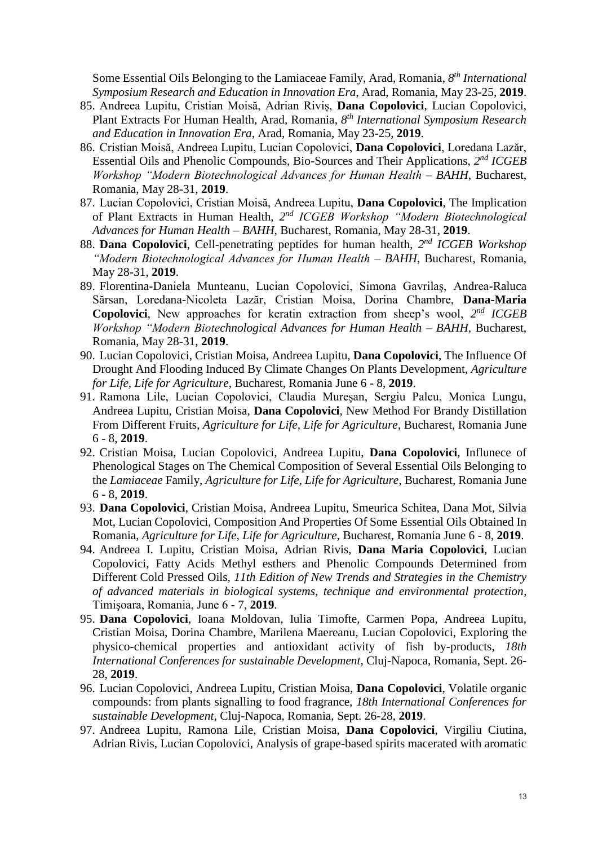Some Essential Oils Belonging to the Lamiaceae Family, Arad, Romania, *8 th International Symposium Research and Education in Innovation Era*, Arad, Romania, May 23-25, **2019**.

- 85. Andreea Lupitu, Cristian Moisă, Adrian Riviș, **Dana Copolovici**, Lucian Copolovici, Plant Extracts For Human Health, Arad, Romania, *8 th International Symposium Research and Education in Innovation Era*, Arad, Romania, May 23-25, **2019**.
- 86. Cristian Moisă, Andreea Lupitu, Lucian Copolovici, **Dana Copolovici**, Loredana Lazăr, Essential Oils and Phenolic Compounds, Bio-Sources and Their Applications, 2<sup>nd</sup> *ICGEB Workshop "Modern Biotechnological Advances for Human Health – BAHH*, Bucharest, Romania, May 28-31, **2019**.
- 87. Lucian Copolovici, Cristian Moisă, Andreea Lupitu, **Dana Copolovici**, The Implication of Plant Extracts in Human Health, *2 nd ICGEB Workshop "Modern Biotechnological Advances for Human Health – BAHH*, Bucharest, Romania, May 28-31, **2019**.
- 88. **Dana Copolovici**, Cell-penetrating peptides for human health, *2 nd ICGEB Workshop "Modern Biotechnological Advances for Human Health – BAHH*, Bucharest, Romania, May 28-31, **2019**.
- 89. Florentina-Daniela Munteanu, Lucian Copolovici, Simona Gavrilaș, Andrea-Raluca Sărsan, Loredana-Nicoleta Lazăr, Cristian Moisa, Dorina Chambre, **Dana-Maria Copolovici**, New approaches for keratin extraction from sheep's wool, *2 nd ICGEB Workshop "Modern Biotechnological Advances for Human Health – BAHH*, Bucharest, Romania, May 28-31, **2019**.
- 90. Lucian Copolovici, Cristian Moisa, Andreea Lupitu, **Dana Copolovici**, The Influence Of Drought And Flooding Induced By Climate Changes On Plants Development, *Agriculture for Life, Life for Agriculture*, Bucharest, Romania June 6 - 8, **2019**.
- 91. Ramona Lile, Lucian Copolovici, Claudia Mureşan, Sergiu Palcu, Monica Lungu, Andreea Lupitu, Cristian Moisa, **Dana Copolovici**, New Method For Brandy Distillation From Different Fruits, *Agriculture for Life, Life for Agriculture*, Bucharest, Romania June 6 - 8, **2019**.
- 92. Cristian Moisa, Lucian Copolovici, Andreea Lupitu, **Dana Copolovici**, Influnece of Phenological Stages on The Chemical Composition of Several Essential Oils Belonging to the *Lamiaceae* Family, *Agriculture for Life, Life for Agriculture*, Bucharest, Romania June 6 - 8, **2019**.
- 93. **Dana Copolovici**, Cristian Moisa, Andreea Lupitu, Smeurica Schitea, Dana Mot, Silvia Mot, Lucian Copolovici, Composition And Properties Of Some Essential Oils Obtained In Romania, *Agriculture for Life, Life for Agriculture*, Bucharest, Romania June 6 - 8, **2019**.
- 94. Andreea I. Lupitu, Cristian Moisa, Adrian Rivis, **Dana Maria Copolovici**, Lucian Copolovici, Fatty Acids Methyl esthers and Phenolic Compounds Determined from Different Cold Pressed Oils, *11th Edition of New Trends and Strategies in the Chemistry of advanced materials in biological systems, technique and environmental protection*, Timişoara, Romania, June 6 - 7, **2019**.
- 95. **Dana Copolovici**, Ioana Moldovan, Iulia Timofte, Carmen Popa, Andreea Lupitu, Cristian Moisa, Dorina Chambre, Marilena Maereanu, Lucian Copolovici, Exploring the physico-chemical properties and antioxidant activity of fish by-products, *18th International Conferences for sustainable Development*, Cluj-Napoca, Romania, Sept. 26- 28, **2019**.
- 96. Lucian Copolovici, Andreea Lupitu, Cristian Moisa, **Dana Copolovici**, Volatile organic compounds: from plants signalling to food fragrance, *18th International Conferences for sustainable Development*, Cluj-Napoca, Romania, Sept. 26-28, **2019**.
- 97. Andreea Lupitu, Ramona Lile, Cristian Moisa, **Dana Copolovici**, Virgiliu Ciutina, Adrian Rivis, Lucian Copolovici, Analysis of grape-based spirits macerated with aromatic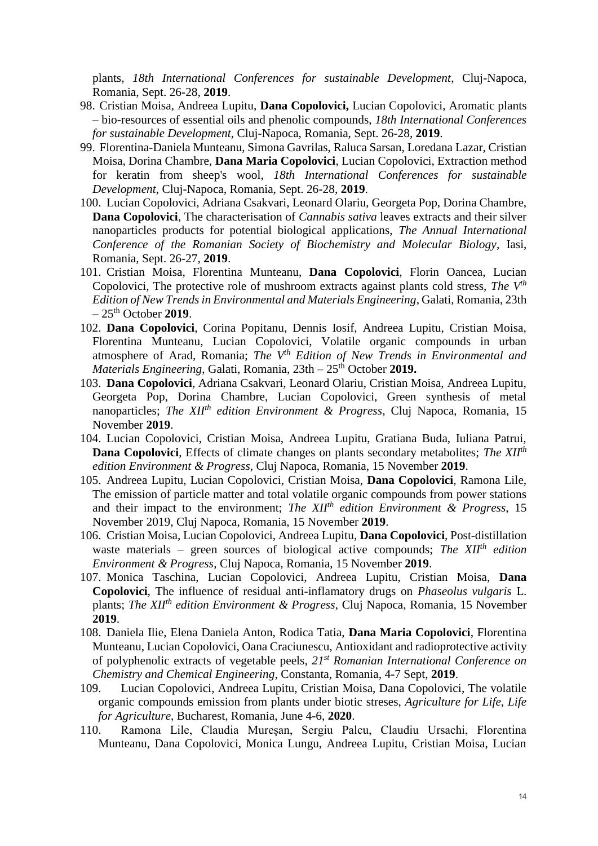plants, *18th International Conferences for sustainable Development*, Cluj-Napoca, Romania, Sept. 26-28, **2019**.

- 98. Cristian Moisa, Andreea Lupitu, **Dana Copolovici,** Lucian Copolovici, Aromatic plants – bio-resources of essential oils and phenolic compounds, *18th International Conferences for sustainable Development*, Cluj-Napoca, Romania, Sept. 26-28, **2019**.
- 99. Florentina-Daniela Munteanu, Simona Gavrilas, Raluca Sarsan, Loredana Lazar, Cristian Moisa, Dorina Chambre, **Dana Maria Copolovici**, Lucian Copolovici, Extraction method for keratin from sheep's wool, *18th International Conferences for sustainable Development*, Cluj-Napoca, Romania, Sept. 26-28, **2019**.
- 100. Lucian Copolovici, Adriana Csakvari, Leonard Olariu, Georgeta Pop, Dorina Chambre, **Dana Copolovici**, The characterisation of *Cannabis sativa* leaves extracts and their silver nanoparticles products for potential biological applications, *The Annual International Conference of the Romanian Society of Biochemistry and Molecular Biology*, Iasi, Romania, Sept. 26-27, **2019**.
- 101. Cristian Moisa, Florentina Munteanu, **Dana Copolovici**, Florin Oancea, Lucian Copolovici, The protective role of mushroom extracts against plants cold stress, *The Vth Edition of New Trends in Environmental and Materials Engineering*, Galati, Romania, 23th  $-25$ <sup>th</sup> October 2019.
- 102. **Dana Copolovici**, Corina Popitanu, Dennis Iosif, Andreea Lupitu, Cristian Moisa, Florentina Munteanu, Lucian Copolovici, Volatile organic compounds in urban atmosphere of Arad, Romania; *The Vth Edition of New Trends in Environmental and Materials Engineering*, Galati, Romania, 23th – 25<sup>th</sup> October 2019.
- 103. **Dana Copolovici**, Adriana Csakvari, Leonard Olariu, Cristian Moisa, Andreea Lupitu, Georgeta Pop, Dorina Chambre, Lucian Copolovici, Green synthesis of metal nanoparticles; *The XIIth edition Environment & Progress*, Cluj Napoca, Romania, 15 November **2019**.
- 104. Lucian Copolovici, Cristian Moisa, Andreea Lupitu, Gratiana Buda, Iuliana Patrui, **Dana Copolovici**, Effects of climate changes on plants secondary metabolites; *The XIIth edition Environment & Progress*, Cluj Napoca, Romania, 15 November **2019**.
- 105. Andreea Lupitu, Lucian Copolovici, Cristian Moisa, **Dana Copolovici**, Ramona Lile, The emission of particle matter and total volatile organic compounds from power stations and their impact to the environment; *The XIIth edition Environment & Progress*, 15 November 2019, Cluj Napoca, Romania, 15 November **2019**.
- 106. Cristian Moisa, Lucian Copolovici, Andreea Lupitu, **Dana Copolovici**, Post-distillation waste materials – green sources of biological active compounds; *The XIIth edition Environment & Progress*, Cluj Napoca, Romania, 15 November **2019**.
- 107. Monica Taschina, Lucian Copolovici, Andreea Lupitu, Cristian Moisa, **Dana Copolovici**, The influence of residual anti-inflamatory drugs on *Phaseolus vulgaris* L. plants; *The XIIth edition Environment & Progress*, Cluj Napoca, Romania, 15 November **2019**.
- 108. Daniela Ilie, Elena Daniela Anton, Rodica Tatia, **Dana Maria Copolovici**, Florentina Munteanu, Lucian Copolovici, Oana Craciunescu, Antioxidant and radioprotective activity of polyphenolic extracts of vegetable peels*, 21st Romanian International Conference on Chemistry and Chemical Engineering*, Constanta, Romania, 4-7 Sept, **2019**.
- 109. Lucian Copolovici, Andreea Lupitu, Cristian Moisa, Dana Copolovici, The volatile organic compounds emission from plants under biotic streses, *Agriculture for Life, Life for Agriculture*, Bucharest, Romania, June 4-6, **2020**.
- 110. Ramona Lile, Claudia Mureşan, Sergiu Palcu, Claudiu Ursachi, Florentina Munteanu, Dana Copolovici, Monica Lungu, Andreea Lupitu, Cristian Moisa, Lucian